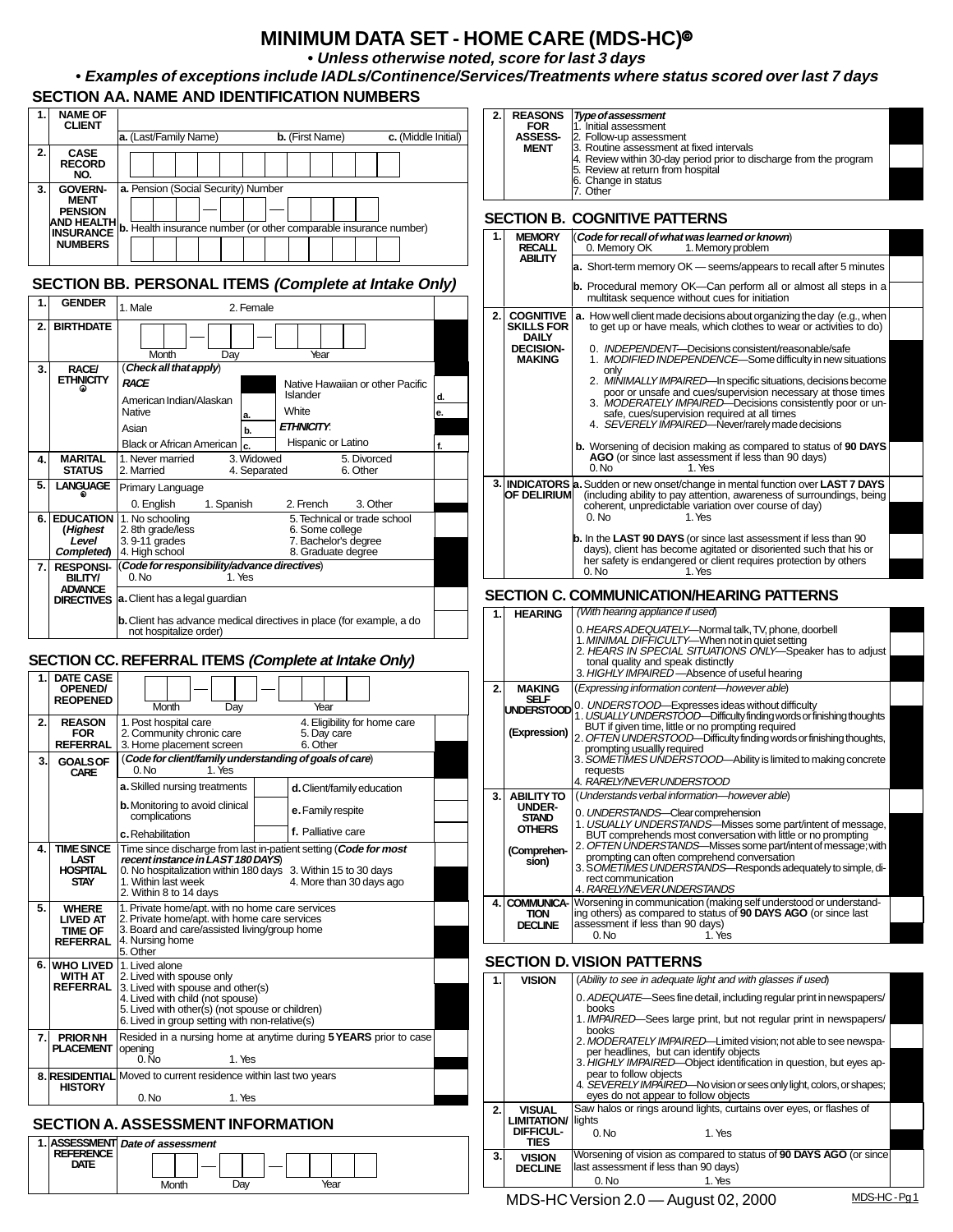## **MINIMUM DATA SET - HOME CARE (MDS-HC)**8

**• Unless otherwise noted, score for last 3 days**

• **Examples of exceptions include IADLs/Continence/Services/Treatments where status scored over last 7 days SECTION AA. NAME AND IDENTIFICATION NUMBERS**

| 1.  | <b>NAME OF</b><br><b>CLIENT</b>             |                                                                                                       | 2.           | <b>REASONS</b><br><b>FOR</b>                      | <b>Type of assessment</b><br>1. Initial assessment                                                                                                       |
|-----|---------------------------------------------|-------------------------------------------------------------------------------------------------------|--------------|---------------------------------------------------|----------------------------------------------------------------------------------------------------------------------------------------------------------|
|     |                                             | a. (Last/Family Name)<br><b>b.</b> (First Name)<br>c. (Middle Initial)                                |              | <b>ASSESS-</b><br><b>MENT</b>                     | 2. Follow-up assessment<br>3. Routine assessment at fixed intervals                                                                                      |
| 2.  | <b>CASE</b><br><b>RECORD</b><br>NO.         |                                                                                                       |              |                                                   | 4. Review within 30-day period prior to discharge from the program<br>5. Review at return from hospital                                                  |
| 3.  | <b>GOVERN-</b>                              | a. Pension (Social Security) Number                                                                   |              |                                                   | 6. Change in status<br>7. Other                                                                                                                          |
|     | <b>MENT</b><br><b>PENSION</b><br>AND HEALTH | <b>b.</b> Health insurance number (or other comparable insurance number)                              |              |                                                   | <b>SECTION B. COGNITIVE PATTERNS</b>                                                                                                                     |
|     | <b>INSURANCE</b><br><b>NUMBERS</b>          |                                                                                                       | 1.           | <b>MEMORY</b>                                     | (Code for recall of what was learned or known)                                                                                                           |
|     |                                             |                                                                                                       |              | <b>RECALL</b><br><b>ABILITY</b>                   | 0. Memory OK<br>1. Memory problem<br>a. Short-term memory OK - seems/appears to recall after 5 minutes                                                   |
|     |                                             | SECTION BB. PERSONAL ITEMS (Complete at Intake Only)                                                  |              |                                                   | <b>b.</b> Procedural memory OK-Can perform all or almost all steps in a                                                                                  |
| 1.1 | <b>GENDER</b>                               | 1. Male<br>2. Female                                                                                  |              |                                                   | multitask sequence without cues for initiation                                                                                                           |
| 2.  | <b>BIRTHDATE</b>                            |                                                                                                       | 2.           | <b>COGNITIVE</b><br><b>SKILLS FOR</b>             | <b>a.</b> How well client made decisions about organizing the day (e.g., when<br>to get up or have meals, which clothes to wear or activities to do)     |
|     |                                             | Month<br>Day<br>Year                                                                                  |              | <b>DAILY</b><br><b>DECISION-</b><br><b>MAKING</b> | 0. INDEPENDENT-Decisions consistent/reasonable/safe<br>1. MODIFIED INDEPENDENCE-Some difficulty in new situations                                        |
| 3.  | <b>RACE/</b>                                | (Check all that apply)                                                                                |              |                                                   | only                                                                                                                                                     |
|     | <b>ETHNICITY</b>                            | RACE<br>Native Hawaiian or other Pacific<br>Islander<br>d.                                            |              |                                                   | 2. MINIMALLY IMPAIRED-In specific situations, decisions become<br>poor or unsafe and cues/supervision necessary at those times                           |
|     |                                             | American Indian/Alaskan<br>White<br>Native<br>le.<br>a.                                               |              |                                                   | 3. MODERATELY IMPAIRED-Decisions consistently poor or un-<br>safe, cues/supervision required at all times                                                |
|     |                                             | <b>ETHNICITY:</b><br>Asian<br>b.                                                                      |              |                                                   | 4. SEVERELY IMPAIRED-Never/rarely made decisions                                                                                                         |
|     |                                             | Hispanic or Latino<br><b>Black or African American</b>                                                |              |                                                   | <b>b.</b> Worsening of decision making as compared to status of 90 DAYS                                                                                  |
| 4.  | <b>MARITAL</b><br><b>STATUS</b>             | 1. Never married<br>3. Widowed<br>5. Divorced<br>2. Married<br>4. Separated<br>6. Other               |              |                                                   | AGO (or since last assessment if less than 90 days)<br>0. No<br>1. Yes                                                                                   |
| 5.  | <b>LANGUAGE</b>                             | Primary Language                                                                                      |              | <b>OF DELIRIUM</b>                                | 3. INDICATORS a. Sudden or new onset/change in mental function over LAST 7 DAYS<br>(including ability to pay attention, awareness of surroundings, being |
|     |                                             | 3. Other<br>0. English<br>1. Spanish<br>2. French                                                     |              |                                                   | coherent, unpredictable variation over course of day)<br>1. Yes<br>0. No                                                                                 |
|     | 6. EDUCATION<br>(Highest                    | 1. No schooling<br>5. Technical or trade school<br>2.8th grade/less<br>6. Some college                |              |                                                   |                                                                                                                                                          |
|     | Level<br>Completed)                         | 7. Bachelor's degree<br>$3.9 - 11$ grades<br>8. Graduate degree<br>4. High school                     |              |                                                   | b. In the LAST 90 DAYS (or since last assessment if less than 90<br>days), client has become agitated or disoriented such that his or                    |
| 7.1 | <b>RESPONSI-</b>                            | (Code for responsibility/advance directives)                                                          |              |                                                   | her safety is endangered or client requires protection by others<br>0. No<br>1. Yes                                                                      |
|     | <b>BILITY/</b><br><b>ADVANCE</b>            | 0. No<br>1. Yes                                                                                       |              |                                                   | <b>SECTION C. COMMUNICATION/HEARING PATTERNS</b>                                                                                                         |
|     |                                             | <b>DIRECTIVES</b> a. Client has a legal guardian                                                      | 1.           | <b>HEARING</b>                                    | (With hearing appliance if used)                                                                                                                         |
|     |                                             | <b>b.</b> Client has advance medical directives in place (for example, a do<br>not hospitalize order) |              |                                                   | 0. HEARS ADEQUATELY-Normal talk, TV, phone, doorbell                                                                                                     |
|     |                                             |                                                                                                       |              |                                                   | 1. MINIMAL DIFFICULTY-When not in quiet setting<br>2. HEARS IN SPECIAL SITUATIONS ONLY-Speaker has to adjust                                             |
|     |                                             | SECTION CC. REFERRAL ITEMS (Complete at Intake Only)                                                  |              |                                                   | tonal quality and speak distinctly<br>3. HIGHLY IMPAIRED - Absence of useful hearing                                                                     |
| 1.1 | <b>DATE CASE</b><br>OPENED/                 |                                                                                                       | $\mathbf{2}$ | <b>MAKING</b>                                     | (Expressing information content-however able)                                                                                                            |
|     | <b>REOPENED</b>                             | Month<br>Day<br>Year                                                                                  |              | <b>SELF</b>                                       | UNDERSTOOD 4. UNDERSTOOD—Expresses ideas without difficulty<br>. USUALLY UNDERSTOOD-Difficulty finding words or finishing thoughts                       |
| 2.  | <b>REASON</b><br><b>FOR</b>                 | 1. Post hospital care<br>4. Eligibility for home care<br>2. Community chronic care<br>5. Day care     |              | (Expression)                                      | BUT if given time, little or no prompting required<br>OFTEN UNDERSTOOD-Difficulty finding words or finishing thoughts,                                   |
|     | <b>REFERRAL</b>                             | 3. Home placement screen<br>6. Other                                                                  |              |                                                   | prompting usuallly required                                                                                                                              |
| 3.  | <b>GOALS OF</b><br><b>CARE</b>              | (Code for client/family understanding of goals of care)<br>$0.$ No<br>1. Yes                          |              |                                                   | 3. SOMETIMES UNDERSTOOD-Ability is limited to making concrete<br>requests                                                                                |
|     |                                             | a. Skilled nursing treatments<br>d. Client/family education                                           | 3.           |                                                   | 4. RARELY/NEVER UNDERSTOOD<br><b>ABILITY TO</b> (Understands verbal information—however able)                                                            |
|     |                                             | <b>b.</b> Monitoring to avoid clinical<br>e. Family respite<br>complications                          |              | <b>UNDER-</b><br><b>STAND</b>                     | 0. UNDERSTANDS-Clear comprehension                                                                                                                       |
|     |                                             | f. Palliative care<br>c. Rehabilitation                                                               |              | <b>OTHERS</b>                                     | 1. USUALLY UNDERSTANDS-Misses some part/intent of message,<br>BUT comprehends most conversation with little or no prompting                              |
| 4.  | <b>TIME SINCE</b>                           | Time since discharge from last in-patient setting (Code for most                                      |              | (Comprehen-                                       | 2. OFTEN UNDERSTANDS-Misses some part/intent of message; with                                                                                            |
|     | LAST<br><b>HOSPITAL</b>                     | recent instance in LAST 180 DAYS<br>0. No hospitalization within 180 days 3. Within 15 to 30 days     |              | sion)                                             | prompting can often comprehend conversation<br>3. SOMETIMES UNDERSTANDS-Responds adequately to simple, di-                                               |
|     | <b>STAY</b>                                 | 1. Within last week<br>4. More than 30 days ago<br>2. Within 8 to 14 days                             |              |                                                   | rect communication<br>4. RARELY/NEVER UNDERSTANDS                                                                                                        |
| 5.  | <b>WHERE</b>                                | 1. Private home/apt. with no home care services                                                       | 4.           | <b>TION</b>                                       | <b>COMMUNICA-</b> Worsening in communication (making self understood or understand-<br>ing others) as compared to status of 90 DAYS AGO (or since last   |
|     | <b>LIVED AT</b><br><b>TIME OF</b>           | 2. Private home/apt. with home care services<br>3. Board and care/assisted living/group home          |              | <b>DECLINE</b>                                    | assessment if less than 90 days)<br>0. No<br>1. Yes                                                                                                      |
|     | <b>REFERRAL</b>                             | 4. Nursing home<br>5. Other                                                                           |              |                                                   |                                                                                                                                                          |
|     |                                             | 6. WHO LIVED 1. Lived alone                                                                           |              |                                                   | <b>SECTION D. VISION PATTERNS</b>                                                                                                                        |
|     | <b>WITH AT</b><br><b>REFERRAL</b>           | 2. Lived with spouse only<br>3. Lived with spouse and other(s)                                        | $\mathbf 1$  | <b>VISION</b>                                     | (Ability to see in adequate light and with glasses if used)                                                                                              |
|     |                                             | 4. Lived with child (not spouse)<br>5. Lived with other(s) (not spouse or children)                   |              |                                                   | 0. ADEQUATE—Sees fine detail, including regular print in newspapers/<br>books                                                                            |
|     |                                             | 6. Lived in group setting with non-relative(s)                                                        |              |                                                   | 1. IMPAIRED-Sees large print, but not regular print in newspapers/<br>books                                                                              |
| 7.  | <b>PRIOR NH</b><br><b>PLACEMENT</b> opening | Resided in a nursing home at anytime during 5 YEARS prior to case                                     |              |                                                   | 2. MODERATELY IMPAIRED—Limited vision; not able to see newspa-<br>per headlines, but can identify objects                                                |
|     |                                             | 0. No<br>1. Yes                                                                                       |              |                                                   | 3. HIGHLY IMPAIRED-Object identification in question, but eyes ap-<br>pear to follow objects                                                             |
|     | <b>HISTORY</b>                              | 8. RESIDENTIAL Moved to current residence within last two years<br>0. No<br>1. Yes                    |              |                                                   | 4. SEVERELY IMPAIRED-No vision or sees only light, colors, or shapes;<br>eyes do not appear to follow objects                                            |
|     |                                             |                                                                                                       | 2.           | <b>VISUAL</b><br><b>LIMITATION/ lights</b>        | Saw halos or rings around lights, curtains over eyes, or flashes of                                                                                      |
|     |                                             | <b>SECTION A. ASSESSMENT INFORMATION</b><br>1. ASSESSMENT Date of assessment                          |              | <b>DIFFICUL-</b><br><b>TIES</b>                   | 0. No<br>1. Yes                                                                                                                                          |
|     | <b>REFERENCE</b><br><b>DATE</b>             |                                                                                                       | 3.           | <b>VISION</b>                                     | Worsening of vision as compared to status of 90 DAYS AGO (or since                                                                                       |
|     |                                             | Month<br>Day<br>Year                                                                                  |              | <b>DECLINE</b>                                    | last assessment if less than 90 days)<br>0. No<br>1. Yes                                                                                                 |
|     |                                             |                                                                                                       |              |                                                   |                                                                                                                                                          |

MDS-HC Version 2.0 - August 02, 2000 MDS-HC-Pg1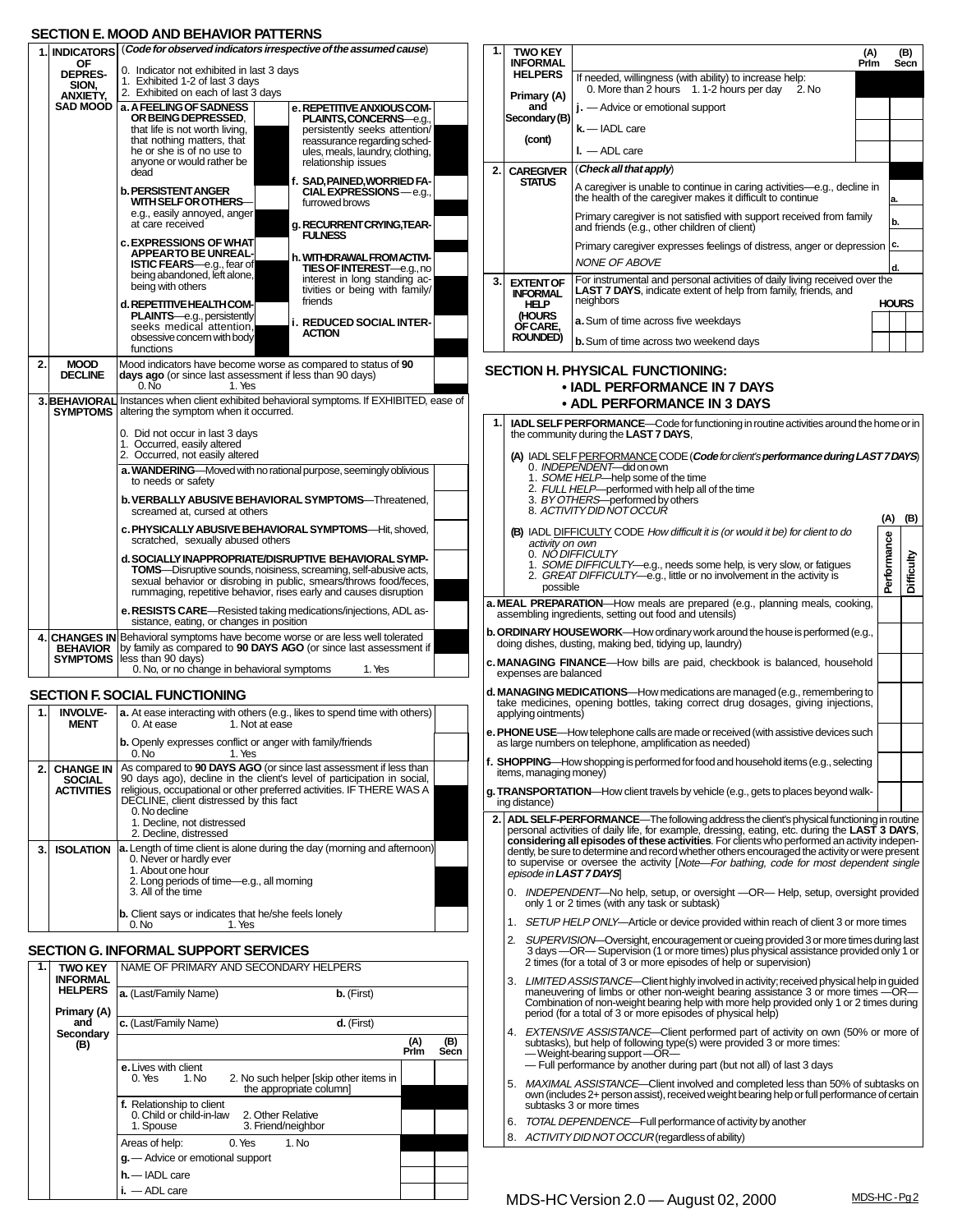## **SECTION E. MOOD AND BEHAVIOR PATTERNS**

|                                                          | -911911 L.I                                | IP BEHAVION FALLENTS                                                                                                                                                                                                                                                        |  |  |  |  |  |
|----------------------------------------------------------|--------------------------------------------|-----------------------------------------------------------------------------------------------------------------------------------------------------------------------------------------------------------------------------------------------------------------------------|--|--|--|--|--|
|                                                          | ΟF                                         | 1. INDICATORS (Code for observed indicators irrespective of the assumed cause)                                                                                                                                                                                              |  |  |  |  |  |
|                                                          | <b>DEPRES-</b><br>SION.<br><b>ANXIETY.</b> | 0. Indicator not exhibited in last 3 days<br>1. Exhibited 1-2 of last 3 days<br>2. Exhibited on each of last 3 days                                                                                                                                                         |  |  |  |  |  |
|                                                          | <b>SAD MOOD</b>                            | a. A FEELING OF SADNESS<br>e. REPETITIVE ANXIOUS COM-<br>OR BEING DEPRESSED.<br><b>PLAINTS, CONCERNS</b> -e.g.,                                                                                                                                                             |  |  |  |  |  |
|                                                          |                                            | persistently seeks attention/<br>that life is not worth living.<br>that nothing matters, that<br>reassurance regarding sched-<br>he or she is of no use to<br>ules, meals, laundry, clothing,                                                                               |  |  |  |  |  |
| anyone or would rather be<br>relationship issues<br>dead |                                            |                                                                                                                                                                                                                                                                             |  |  |  |  |  |
|                                                          |                                            | f. SAD, PAINED, WORRIED FA-<br><b>b. PERSISTENT ANGER</b><br><b>CIAL EXPRESSIONS</b> —e.g.,<br><b>WITH SELF OR OTHERS-</b><br>furrowed brows                                                                                                                                |  |  |  |  |  |
|                                                          |                                            | e.g., easily annoyed, anger<br>at care received<br>a. RECURRENT CRYING.TEAR-<br><b>FULNESS</b><br><b>c. EXPRESSIONS OF WHAT</b>                                                                                                                                             |  |  |  |  |  |
|                                                          |                                            | <b>APPEARTO BE UNREAL-</b><br>h. WITHDRAWAL FROM ACTIVI-<br>ISTIC FEARS-e.g., fear of<br><b>TIES OF INTEREST</b> —e.g., no<br>being abandoned, left alone,<br>interest in long standing ac-                                                                                 |  |  |  |  |  |
|                                                          |                                            | being with others<br>tivities or being with family/<br>friends<br>d. REPETITIVE HEALTH COM-                                                                                                                                                                                 |  |  |  |  |  |
|                                                          |                                            | <b>PLAINTS</b> -e.g., persistently<br><b>i. REDUCED SOCIAL INTER-</b><br>seeks medical attention.<br><b>ACTION</b><br>obsessive concern with body<br>functions                                                                                                              |  |  |  |  |  |
| 2.                                                       | <b>MOOD</b><br><b>DECLINE</b>              | Mood indicators have become worse as compared to status of 90<br>days ago (or since last assessment if less than 90 days)<br>$0.\overline{\text{No}}$<br>1. Yes                                                                                                             |  |  |  |  |  |
|                                                          | <b>SYMPTOMS</b>                            | 3. BEHAVIORAL Instances when client exhibited behavioral symptoms. If EXHIBITED, ease of<br>altering the symptom when it occurred.                                                                                                                                          |  |  |  |  |  |
|                                                          |                                            | 0. Did not occur in last 3 days<br>1. Occurred, easily altered<br>2. Occurred, not easily altered                                                                                                                                                                           |  |  |  |  |  |
|                                                          |                                            | a. WANDERING-Moved with no rational purpose, seemingly oblivious<br>to needs or safety                                                                                                                                                                                      |  |  |  |  |  |
|                                                          |                                            | b. VERBALLY ABUSIVE BEHAVIORAL SYMPTOMS-Threatened,<br>screamed at. cursed at others                                                                                                                                                                                        |  |  |  |  |  |
|                                                          |                                            | c. PHYSICALLY ABUSIVE BEHAVIORAL SYMPTOMS-Hit, shoved,<br>scratched, sexually abused others                                                                                                                                                                                 |  |  |  |  |  |
|                                                          |                                            | d. SOCIALLY INAPPROPRIATE/DISRUPTIVE BEHAVIORAL SYMP-<br><b>TOMS</b> —Disruptive sounds, noisiness, screaming, self-abusive acts,<br>sexual behavior or disrobing in public, smears/throws food/feces,<br>rummaging, repetitive behavior, rises early and causes disruption |  |  |  |  |  |
|                                                          |                                            | e. RESISTS CARE—Resisted taking medications/injections, ADL as-<br>sistance, eating, or changes in position                                                                                                                                                                 |  |  |  |  |  |
|                                                          | <b>BEHAVIOR</b><br><b>SYMPTOMS</b>         | 4. CHANGES IN Behavioral symptoms have become worse or are less well tolerated<br>by family as compared to 90 DAYS AGO (or since last assessment if<br>less than 90 days)                                                                                                   |  |  |  |  |  |
|                                                          |                                            |                                                                                                                                                                                                                                                                             |  |  |  |  |  |

### **SECTION F. SOCIAL FUNCTIONING**

|    | <b>INVOLVE-</b><br><b>MENT</b>    | <b>a.</b> At ease interacting with others (e.g., likes to spend time with others)<br>1. Not at ease<br>0. At ease                            |  |
|----|-----------------------------------|----------------------------------------------------------------------------------------------------------------------------------------------|--|
|    |                                   | <b>b.</b> Openly expresses conflict or anger with family/friends<br>1. Yes<br>$0.$ No                                                        |  |
| 2. | <b>CHANGE IN</b><br><b>SOCIAL</b> | As compared to 90 DAYS AGO (or since last assessment if less than<br>90 days ago), decline in the client's level of participation in social, |  |
|    | <b>ACTIVITIES</b>                 | religious, occupational or other preferred activities. IF THERE WAS A<br>DECLINE, client distressed by this fact<br>0. No decline            |  |
|    |                                   | 1. Decline, not distressed<br>2. Decline, distressed                                                                                         |  |
| 3. | <b>ISOLATION</b>                  | a. Length of time client is alone during the day (morning and afternoon)<br>0. Never or hardly ever                                          |  |
|    |                                   | 1. About one hour<br>2. Long periods of time-e.g., all morning<br>3. All of the time                                                         |  |
|    |                                   | <b>b.</b> Client says or indicates that he/she feels lonely<br>0. N <sub>0</sub><br>1. Yes                                                   |  |

## **SECTION G. INFORMAL SUPPORT SERVICES**

| TWO KEY<br><b>INFORMAL</b>    | NAME OF PRIMARY AND SECONDARY HELPERS                                             |             |             |
|-------------------------------|-----------------------------------------------------------------------------------|-------------|-------------|
| <b>HELPERS</b><br>Primary (A) | a. (Last/Family Name)<br>b. (First)                                               |             |             |
| and<br>Secondary              | c. (Last/Family Name)<br>d. (First)                                               |             |             |
| (B)                           |                                                                                   | (A)<br>Prim | (B)<br>Secn |
|                               | e. Lives with client<br>0. Yes<br>1. No<br>2. No such helper [skip other items in |             |             |
|                               | the appropriate column]                                                           |             |             |
|                               | f. Relationship to client                                                         |             |             |
|                               | 0. Child or child-in-law 2. Other Relative<br>3. Friend/neighbor<br>1. Spouse     |             |             |
|                               | $0.$ Yes $1.$ No<br>Areas of help:                                                |             |             |
|                               | q. - Advice or emotional support                                                  |             |             |
|                               | $h$ $-$ IADL care                                                                 |             |             |
|                               | $i. - ADL$ care                                                                   |             |             |

| 1.                                                                                                                                                                                                                                                                                                                                                                                                                                                                                                                         | <b>TWO KEY</b>                                                                          |                                                                                                                                                                                                                                                                                                                                          | (A)  |              | (B)        |  |  |
|----------------------------------------------------------------------------------------------------------------------------------------------------------------------------------------------------------------------------------------------------------------------------------------------------------------------------------------------------------------------------------------------------------------------------------------------------------------------------------------------------------------------------|-----------------------------------------------------------------------------------------|------------------------------------------------------------------------------------------------------------------------------------------------------------------------------------------------------------------------------------------------------------------------------------------------------------------------------------------|------|--------------|------------|--|--|
|                                                                                                                                                                                                                                                                                                                                                                                                                                                                                                                            | <b>INFORMAL</b><br><b>HELPERS</b>                                                       | If needed, willingness (with ability) to increase help:                                                                                                                                                                                                                                                                                  | Prim |              | Secn       |  |  |
|                                                                                                                                                                                                                                                                                                                                                                                                                                                                                                                            | Primary (A)                                                                             | 0. More than 2 hours 1.1-2 hours per day<br>2. No                                                                                                                                                                                                                                                                                        |      |              |            |  |  |
|                                                                                                                                                                                                                                                                                                                                                                                                                                                                                                                            | and<br>Secondary (B)                                                                    | j. — Advice or emotional support                                                                                                                                                                                                                                                                                                         |      |              |            |  |  |
|                                                                                                                                                                                                                                                                                                                                                                                                                                                                                                                            | (cont)                                                                                  | $k$ . — IADL care                                                                                                                                                                                                                                                                                                                        |      |              |            |  |  |
|                                                                                                                                                                                                                                                                                                                                                                                                                                                                                                                            |                                                                                         | $L - ADL$ care                                                                                                                                                                                                                                                                                                                           |      |              |            |  |  |
| 2.                                                                                                                                                                                                                                                                                                                                                                                                                                                                                                                         | <b>CAREGIVER</b><br>STATUS                                                              | (Check all that apply)<br>A caregiver is unable to continue in caring activities-e.g., decline in                                                                                                                                                                                                                                        |      |              |            |  |  |
|                                                                                                                                                                                                                                                                                                                                                                                                                                                                                                                            |                                                                                         | the health of the caregiver makes it difficult to continue                                                                                                                                                                                                                                                                               |      | a.           |            |  |  |
|                                                                                                                                                                                                                                                                                                                                                                                                                                                                                                                            |                                                                                         | Primary caregiver is not satisfied with support received from family<br>and friends (e.g., other children of client)                                                                                                                                                                                                                     |      | b.           |            |  |  |
|                                                                                                                                                                                                                                                                                                                                                                                                                                                                                                                            |                                                                                         | Primary caregiver expresses feelings of distress, anger or depression                                                                                                                                                                                                                                                                    |      | c.           |            |  |  |
|                                                                                                                                                                                                                                                                                                                                                                                                                                                                                                                            |                                                                                         | <b>NONE OF ABOVE</b>                                                                                                                                                                                                                                                                                                                     |      | d.           |            |  |  |
| 3.                                                                                                                                                                                                                                                                                                                                                                                                                                                                                                                         | <b>EXTENT OF</b><br><b>INFORMAL</b>                                                     | For instrumental and personal activities of daily living received over the<br><b>LAST 7 DAYS, indicate extent of help from family, friends, and</b>                                                                                                                                                                                      |      |              |            |  |  |
|                                                                                                                                                                                                                                                                                                                                                                                                                                                                                                                            | HELP<br>(HOURS                                                                          | neighbors<br><b>a.</b> Sum of time across five weekdays                                                                                                                                                                                                                                                                                  |      | <b>HOURS</b> |            |  |  |
|                                                                                                                                                                                                                                                                                                                                                                                                                                                                                                                            | OF CARE,<br><b>ROUNDED)</b>                                                             | <b>b.</b> Sum of time across two weekend days                                                                                                                                                                                                                                                                                            |      |              |            |  |  |
|                                                                                                                                                                                                                                                                                                                                                                                                                                                                                                                            |                                                                                         |                                                                                                                                                                                                                                                                                                                                          |      |              |            |  |  |
|                                                                                                                                                                                                                                                                                                                                                                                                                                                                                                                            |                                                                                         | SECTION H. PHYSICAL FUNCTIONING:<br>• IADL PERFORMANCE IN 7 DAYS<br>• ADL PERFORMANCE IN 3 DAYS                                                                                                                                                                                                                                          |      |              |            |  |  |
| 1.                                                                                                                                                                                                                                                                                                                                                                                                                                                                                                                         |                                                                                         | <b>IADL SELF PERFORMANCE</b> —Code for functioning in routine activities around the home or in                                                                                                                                                                                                                                           |      |              |            |  |  |
|                                                                                                                                                                                                                                                                                                                                                                                                                                                                                                                            |                                                                                         | the community during the LAST 7 DAYS,                                                                                                                                                                                                                                                                                                    |      |              |            |  |  |
|                                                                                                                                                                                                                                                                                                                                                                                                                                                                                                                            |                                                                                         | (A) IADL SELF PERFORMANCE CODE (Code for client's performance during LAST 7 DAYS)<br>0. INDEPENDENT-did on own                                                                                                                                                                                                                           |      |              |            |  |  |
|                                                                                                                                                                                                                                                                                                                                                                                                                                                                                                                            |                                                                                         | 1. SOME HELP-help some of the time                                                                                                                                                                                                                                                                                                       |      |              |            |  |  |
|                                                                                                                                                                                                                                                                                                                                                                                                                                                                                                                            |                                                                                         | 2. FULL HELP—performed with help all of the time<br>3. BY OTHERS—performed by others<br>8. ACTIVITY DID NOT OCCUR                                                                                                                                                                                                                        |      |              |            |  |  |
|                                                                                                                                                                                                                                                                                                                                                                                                                                                                                                                            |                                                                                         | (B) IADL DIFFICULTY CODE How difficult it is (or would it be) for client to do                                                                                                                                                                                                                                                           |      | (A)          | (B)        |  |  |
|                                                                                                                                                                                                                                                                                                                                                                                                                                                                                                                            | activity on own                                                                         | 0. NO DIFFICULTY                                                                                                                                                                                                                                                                                                                         |      | Performance  |            |  |  |
|                                                                                                                                                                                                                                                                                                                                                                                                                                                                                                                            |                                                                                         | 1. SOME DIFFICULTY-e.g., needs some help, is very slow, or fatigues<br>2. GREAT DIFFICULTY—e.g., little or no involvement in the activity is                                                                                                                                                                                             |      |              | Difficulty |  |  |
|                                                                                                                                                                                                                                                                                                                                                                                                                                                                                                                            | possible                                                                                |                                                                                                                                                                                                                                                                                                                                          |      |              |            |  |  |
|                                                                                                                                                                                                                                                                                                                                                                                                                                                                                                                            |                                                                                         | <b>a. MEAL PREPARATION</b> —How meals are prepared (e.g., planning meals, cooking,<br>assembling ingredients, setting out food and utensils)                                                                                                                                                                                             |      |              |            |  |  |
|                                                                                                                                                                                                                                                                                                                                                                                                                                                                                                                            |                                                                                         | <b>b. ORDINARY HOUSEWORK</b> —How ordinary work around the house is performed (e.g.,<br>doing dishes, dusting, making bed, tidying up, laundry)                                                                                                                                                                                          |      |              |            |  |  |
|                                                                                                                                                                                                                                                                                                                                                                                                                                                                                                                            | expenses are balanced                                                                   | c. MANAGING FINANCE—How bills are paid, checkbook is balanced, household                                                                                                                                                                                                                                                                 |      |              |            |  |  |
|                                                                                                                                                                                                                                                                                                                                                                                                                                                                                                                            | applying ointments)                                                                     | d. MANAGING MEDICATIONS—How medications are managed (e.g., remembering to<br>take medicines, opening bottles, taking correct drug dosages, giving injections,                                                                                                                                                                            |      |              |            |  |  |
|                                                                                                                                                                                                                                                                                                                                                                                                                                                                                                                            |                                                                                         | e. PHONE USE—How telephone calls are made or received (with assistive devices such<br>as large numbers on telephone, amplification as needed)                                                                                                                                                                                            |      |              |            |  |  |
|                                                                                                                                                                                                                                                                                                                                                                                                                                                                                                                            | items, managing money)                                                                  | f. SHOPPING—How shopping is performed for food and household items (e.g., selecting                                                                                                                                                                                                                                                      |      |              |            |  |  |
|                                                                                                                                                                                                                                                                                                                                                                                                                                                                                                                            | ing distance)                                                                           | g. TRANSPORTATION—How client travels by vehicle (e.g., gets to places beyond walk-                                                                                                                                                                                                                                                       |      |              |            |  |  |
| 2. ADL SELF-PERFORMANCE—The following address the client's physical functioning in routine<br>personal activities of daily life, for example, dressing, eating, etc. during the <b>LAST 3 DAYS</b> ,<br>considering all episodes of these activities. For clients who performed an activity indepen-<br>dently, be sure to determine and record whether others encouraged the activity or were present<br>to supervise or oversee the activity [Note-For bathing, code for most dependent single<br>episode in LAST 7 DAYS |                                                                                         |                                                                                                                                                                                                                                                                                                                                          |      |              |            |  |  |
| 0. INDEPENDENT—No help, setup, or oversight —OR— Help, setup, oversight provided<br>only 1 or 2 times (with any task or subtask)                                                                                                                                                                                                                                                                                                                                                                                           |                                                                                         |                                                                                                                                                                                                                                                                                                                                          |      |              |            |  |  |
|                                                                                                                                                                                                                                                                                                                                                                                                                                                                                                                            | SETUP HELP ONLY—Article or device provided within reach of client 3 or more times<br>1. |                                                                                                                                                                                                                                                                                                                                          |      |              |            |  |  |
|                                                                                                                                                                                                                                                                                                                                                                                                                                                                                                                            | 2.                                                                                      | SUPERVISION—Oversight, encouragement or cueing provided 3 or more times during last<br>3 days —OR— Supervision (1 or more times) plus physical assistance provided only 1 or<br>2 times (for a total of 3 or more episodes of help or supervision)                                                                                       |      |              |            |  |  |
|                                                                                                                                                                                                                                                                                                                                                                                                                                                                                                                            |                                                                                         | 3. LIMITED ASSISTANCE—Client highly involved in activity; received physical help in guided<br>maneuvering of limbs or other non-weight bearing assistance 3 or more times —OR-<br>Combination of non-weight bearing help with more help provided only 1 or 2 times during<br>period (for a total of 3 or more episodes of physical help) |      |              |            |  |  |
|                                                                                                                                                                                                                                                                                                                                                                                                                                                                                                                            |                                                                                         |                                                                                                                                                                                                                                                                                                                                          |      |              |            |  |  |
|                                                                                                                                                                                                                                                                                                                                                                                                                                                                                                                            |                                                                                         | 4. <i>EXTENSIVE ASSISTANCE</i> —Client performed part of activity on own (50% or more of<br>subtasks), but help of following type(s) were provided 3 or more times:<br>-Weight-bearing support-OR-<br>— Full performance by another during part (but not all) of last 3 days                                                             |      |              |            |  |  |

- 5. MAXIMAL ASSISTANCE—Client involved and completed less than 50% of subtasks on<br>own (includes 2+ person assist), received weight bearing help or full performance of certain<br>subtasks 3 or more times
- 6. TOTAL DEPENDENCE—Full performance of activity by another
- 8. ACTIVITY DID NOT OCCUR (regardless of ability)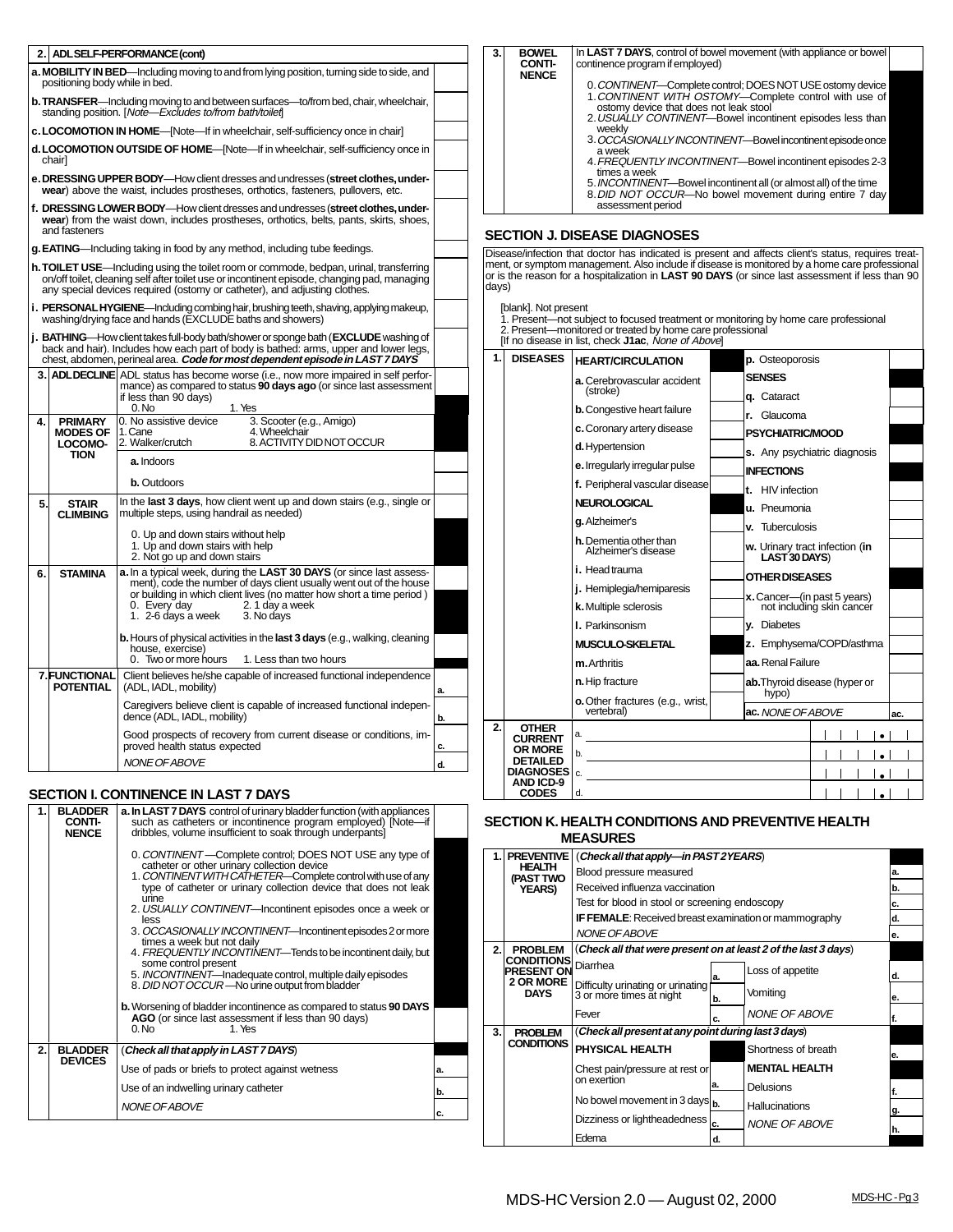| 2.                                                                                                                                                                                                                                                                                                                                                                                                                                                                                                                                                                                                                                                                                                                                                                                                                                                                                                                                                                                                                                                                                                                                                                                                                                                                                                                                                                                                                                                                                                                                                                                                                                                                                                                                                                                                                                                                                                                                                                                                                                                                                                                                                                                                                                                                                                                                                                                                                                                                                                                                                                                                                                                                                                                                                                                                                                                                                                                                                                                                                                                                                                                                                                                                                                                                                                                                                                                                                                                                                                                                                                                                                                                                                                                                                                                                                                                                                                                                                                                                                                                                                                                    |                                                 | ADL SELF-PERFORMANCE (cont)                                                                                                                                                                         | 3. | <b>BOWEL</b><br><b>CONTI-</b>  | continence program if employed)               | In LAST 7 DAYS, control of bowel movement (with appliance or bowel                                                 |     |
|-----------------------------------------------------------------------------------------------------------------------------------------------------------------------------------------------------------------------------------------------------------------------------------------------------------------------------------------------------------------------------------------------------------------------------------------------------------------------------------------------------------------------------------------------------------------------------------------------------------------------------------------------------------------------------------------------------------------------------------------------------------------------------------------------------------------------------------------------------------------------------------------------------------------------------------------------------------------------------------------------------------------------------------------------------------------------------------------------------------------------------------------------------------------------------------------------------------------------------------------------------------------------------------------------------------------------------------------------------------------------------------------------------------------------------------------------------------------------------------------------------------------------------------------------------------------------------------------------------------------------------------------------------------------------------------------------------------------------------------------------------------------------------------------------------------------------------------------------------------------------------------------------------------------------------------------------------------------------------------------------------------------------------------------------------------------------------------------------------------------------------------------------------------------------------------------------------------------------------------------------------------------------------------------------------------------------------------------------------------------------------------------------------------------------------------------------------------------------------------------------------------------------------------------------------------------------------------------------------------------------------------------------------------------------------------------------------------------------------------------------------------------------------------------------------------------------------------------------------------------------------------------------------------------------------------------------------------------------------------------------------------------------------------------------------------------------------------------------------------------------------------------------------------------------------------------------------------------------------------------------------------------------------------------------------------------------------------------------------------------------------------------------------------------------------------------------------------------------------------------------------------------------------------------------------------------------------------------------------------------------------------------------------------------------------------------------------------------------------------------------------------------------------------------------------------------------------------------------------------------------------------------------------------------------------------------------------------------------------------------------------------------------------------------------------------------------------------------------------------------------|-------------------------------------------------|-----------------------------------------------------------------------------------------------------------------------------------------------------------------------------------------------------|----|--------------------------------|-----------------------------------------------|--------------------------------------------------------------------------------------------------------------------|-----|
|                                                                                                                                                                                                                                                                                                                                                                                                                                                                                                                                                                                                                                                                                                                                                                                                                                                                                                                                                                                                                                                                                                                                                                                                                                                                                                                                                                                                                                                                                                                                                                                                                                                                                                                                                                                                                                                                                                                                                                                                                                                                                                                                                                                                                                                                                                                                                                                                                                                                                                                                                                                                                                                                                                                                                                                                                                                                                                                                                                                                                                                                                                                                                                                                                                                                                                                                                                                                                                                                                                                                                                                                                                                                                                                                                                                                                                                                                                                                                                                                                                                                                                                       | positioning body while in bed.                  | <b>a. MOBILITY IN BED</b> —Including moving to and from lying position, turning side to side, and                                                                                                   |    | <b>NENCE</b>                   |                                               |                                                                                                                    |     |
|                                                                                                                                                                                                                                                                                                                                                                                                                                                                                                                                                                                                                                                                                                                                                                                                                                                                                                                                                                                                                                                                                                                                                                                                                                                                                                                                                                                                                                                                                                                                                                                                                                                                                                                                                                                                                                                                                                                                                                                                                                                                                                                                                                                                                                                                                                                                                                                                                                                                                                                                                                                                                                                                                                                                                                                                                                                                                                                                                                                                                                                                                                                                                                                                                                                                                                                                                                                                                                                                                                                                                                                                                                                                                                                                                                                                                                                                                                                                                                                                                                                                                                                       |                                                 | <b>b. TRANSFER</b> —Including moving to and between surfaces—to/from bed, chair, wheelchair,<br>standing position. [Note-Excludes to/from bath/toileft]                                             |    |                                | ostomy device that does not leak stool        | 0. CONTINENT-Complete control; DOES NOT USE ostomy device<br>1. CONTINENT WITH OSTOMY-Complete control with use of |     |
|                                                                                                                                                                                                                                                                                                                                                                                                                                                                                                                                                                                                                                                                                                                                                                                                                                                                                                                                                                                                                                                                                                                                                                                                                                                                                                                                                                                                                                                                                                                                                                                                                                                                                                                                                                                                                                                                                                                                                                                                                                                                                                                                                                                                                                                                                                                                                                                                                                                                                                                                                                                                                                                                                                                                                                                                                                                                                                                                                                                                                                                                                                                                                                                                                                                                                                                                                                                                                                                                                                                                                                                                                                                                                                                                                                                                                                                                                                                                                                                                                                                                                                                       |                                                 |                                                                                                                                                                                                     |    |                                | weekly                                        |                                                                                                                    |     |
|                                                                                                                                                                                                                                                                                                                                                                                                                                                                                                                                                                                                                                                                                                                                                                                                                                                                                                                                                                                                                                                                                                                                                                                                                                                                                                                                                                                                                                                                                                                                                                                                                                                                                                                                                                                                                                                                                                                                                                                                                                                                                                                                                                                                                                                                                                                                                                                                                                                                                                                                                                                                                                                                                                                                                                                                                                                                                                                                                                                                                                                                                                                                                                                                                                                                                                                                                                                                                                                                                                                                                                                                                                                                                                                                                                                                                                                                                                                                                                                                                                                                                                                       |                                                 |                                                                                                                                                                                                     |    |                                | a week                                        |                                                                                                                    |     |
|                                                                                                                                                                                                                                                                                                                                                                                                                                                                                                                                                                                                                                                                                                                                                                                                                                                                                                                                                                                                                                                                                                                                                                                                                                                                                                                                                                                                                                                                                                                                                                                                                                                                                                                                                                                                                                                                                                                                                                                                                                                                                                                                                                                                                                                                                                                                                                                                                                                                                                                                                                                                                                                                                                                                                                                                                                                                                                                                                                                                                                                                                                                                                                                                                                                                                                                                                                                                                                                                                                                                                                                                                                                                                                                                                                                                                                                                                                                                                                                                                                                                                                                       |                                                 |                                                                                                                                                                                                     |    |                                | times a week                                  |                                                                                                                    |     |
|                                                                                                                                                                                                                                                                                                                                                                                                                                                                                                                                                                                                                                                                                                                                                                                                                                                                                                                                                                                                                                                                                                                                                                                                                                                                                                                                                                                                                                                                                                                                                                                                                                                                                                                                                                                                                                                                                                                                                                                                                                                                                                                                                                                                                                                                                                                                                                                                                                                                                                                                                                                                                                                                                                                                                                                                                                                                                                                                                                                                                                                                                                                                                                                                                                                                                                                                                                                                                                                                                                                                                                                                                                                                                                                                                                                                                                                                                                                                                                                                                                                                                                                       |                                                 |                                                                                                                                                                                                     |    |                                |                                               |                                                                                                                    |     |
|                                                                                                                                                                                                                                                                                                                                                                                                                                                                                                                                                                                                                                                                                                                                                                                                                                                                                                                                                                                                                                                                                                                                                                                                                                                                                                                                                                                                                                                                                                                                                                                                                                                                                                                                                                                                                                                                                                                                                                                                                                                                                                                                                                                                                                                                                                                                                                                                                                                                                                                                                                                                                                                                                                                                                                                                                                                                                                                                                                                                                                                                                                                                                                                                                                                                                                                                                                                                                                                                                                                                                                                                                                                                                                                                                                                                                                                                                                                                                                                                                                                                                                                       |                                                 |                                                                                                                                                                                                     |    |                                |                                               |                                                                                                                    |     |
|                                                                                                                                                                                                                                                                                                                                                                                                                                                                                                                                                                                                                                                                                                                                                                                                                                                                                                                                                                                                                                                                                                                                                                                                                                                                                                                                                                                                                                                                                                                                                                                                                                                                                                                                                                                                                                                                                                                                                                                                                                                                                                                                                                                                                                                                                                                                                                                                                                                                                                                                                                                                                                                                                                                                                                                                                                                                                                                                                                                                                                                                                                                                                                                                                                                                                                                                                                                                                                                                                                                                                                                                                                                                                                                                                                                                                                                                                                                                                                                                                                                                                                                       |                                                 |                                                                                                                                                                                                     |    |                                |                                               |                                                                                                                    |     |
|                                                                                                                                                                                                                                                                                                                                                                                                                                                                                                                                                                                                                                                                                                                                                                                                                                                                                                                                                                                                                                                                                                                                                                                                                                                                                                                                                                                                                                                                                                                                                                                                                                                                                                                                                                                                                                                                                                                                                                                                                                                                                                                                                                                                                                                                                                                                                                                                                                                                                                                                                                                                                                                                                                                                                                                                                                                                                                                                                                                                                                                                                                                                                                                                                                                                                                                                                                                                                                                                                                                                                                                                                                                                                                                                                                                                                                                                                                                                                                                                                                                                                                                       |                                                 |                                                                                                                                                                                                     |    |                                |                                               |                                                                                                                    |     |
|                                                                                                                                                                                                                                                                                                                                                                                                                                                                                                                                                                                                                                                                                                                                                                                                                                                                                                                                                                                                                                                                                                                                                                                                                                                                                                                                                                                                                                                                                                                                                                                                                                                                                                                                                                                                                                                                                                                                                                                                                                                                                                                                                                                                                                                                                                                                                                                                                                                                                                                                                                                                                                                                                                                                                                                                                                                                                                                                                                                                                                                                                                                                                                                                                                                                                                                                                                                                                                                                                                                                                                                                                                                                                                                                                                                                                                                                                                                                                                                                                                                                                                                       |                                                 |                                                                                                                                                                                                     |    |                                |                                               |                                                                                                                    |     |
|                                                                                                                                                                                                                                                                                                                                                                                                                                                                                                                                                                                                                                                                                                                                                                                                                                                                                                                                                                                                                                                                                                                                                                                                                                                                                                                                                                                                                                                                                                                                                                                                                                                                                                                                                                                                                                                                                                                                                                                                                                                                                                                                                                                                                                                                                                                                                                                                                                                                                                                                                                                                                                                                                                                                                                                                                                                                                                                                                                                                                                                                                                                                                                                                                                                                                                                                                                                                                                                                                                                                                                                                                                                                                                                                                                                                                                                                                                                                                                                                                                                                                                                       |                                                 |                                                                                                                                                                                                     |    |                                |                                               |                                                                                                                    |     |
|                                                                                                                                                                                                                                                                                                                                                                                                                                                                                                                                                                                                                                                                                                                                                                                                                                                                                                                                                                                                                                                                                                                                                                                                                                                                                                                                                                                                                                                                                                                                                                                                                                                                                                                                                                                                                                                                                                                                                                                                                                                                                                                                                                                                                                                                                                                                                                                                                                                                                                                                                                                                                                                                                                                                                                                                                                                                                                                                                                                                                                                                                                                                                                                                                                                                                                                                                                                                                                                                                                                                                                                                                                                                                                                                                                                                                                                                                                                                                                                                                                                                                                                       |                                                 |                                                                                                                                                                                                     | 1. | <b>DISEASES</b>                | <b>HEART/CIRCULATION</b>                      | p. Osteoporosis                                                                                                    |     |
|                                                                                                                                                                                                                                                                                                                                                                                                                                                                                                                                                                                                                                                                                                                                                                                                                                                                                                                                                                                                                                                                                                                                                                                                                                                                                                                                                                                                                                                                                                                                                                                                                                                                                                                                                                                                                                                                                                                                                                                                                                                                                                                                                                                                                                                                                                                                                                                                                                                                                                                                                                                                                                                                                                                                                                                                                                                                                                                                                                                                                                                                                                                                                                                                                                                                                                                                                                                                                                                                                                                                                                                                                                                                                                                                                                                                                                                                                                                                                                                                                                                                                                                       |                                                 | mance) as compared to status 90 days ago (or since last assessment<br>if less than 90 days)                                                                                                         |    |                                | a. Cerebrovascular accident<br>(stroke)       | <b>SENSES</b><br>q. Cataract                                                                                       |     |
|                                                                                                                                                                                                                                                                                                                                                                                                                                                                                                                                                                                                                                                                                                                                                                                                                                                                                                                                                                                                                                                                                                                                                                                                                                                                                                                                                                                                                                                                                                                                                                                                                                                                                                                                                                                                                                                                                                                                                                                                                                                                                                                                                                                                                                                                                                                                                                                                                                                                                                                                                                                                                                                                                                                                                                                                                                                                                                                                                                                                                                                                                                                                                                                                                                                                                                                                                                                                                                                                                                                                                                                                                                                                                                                                                                                                                                                                                                                                                                                                                                                                                                                       |                                                 | 0. No<br>1. Yes                                                                                                                                                                                     |    |                                | <b>b.</b> Congestive heart failure            | r. Glaucoma                                                                                                        |     |
|                                                                                                                                                                                                                                                                                                                                                                                                                                                                                                                                                                                                                                                                                                                                                                                                                                                                                                                                                                                                                                                                                                                                                                                                                                                                                                                                                                                                                                                                                                                                                                                                                                                                                                                                                                                                                                                                                                                                                                                                                                                                                                                                                                                                                                                                                                                                                                                                                                                                                                                                                                                                                                                                                                                                                                                                                                                                                                                                                                                                                                                                                                                                                                                                                                                                                                                                                                                                                                                                                                                                                                                                                                                                                                                                                                                                                                                                                                                                                                                                                                                                                                                       | <b>MODES OF</b>                                 | 4. Wheelchair<br>1. Cane                                                                                                                                                                            |    |                                | c. Coronary artery disease                    | <b>PSYCHIATRIC/MOOD</b>                                                                                            |     |
|                                                                                                                                                                                                                                                                                                                                                                                                                                                                                                                                                                                                                                                                                                                                                                                                                                                                                                                                                                                                                                                                                                                                                                                                                                                                                                                                                                                                                                                                                                                                                                                                                                                                                                                                                                                                                                                                                                                                                                                                                                                                                                                                                                                                                                                                                                                                                                                                                                                                                                                                                                                                                                                                                                                                                                                                                                                                                                                                                                                                                                                                                                                                                                                                                                                                                                                                                                                                                                                                                                                                                                                                                                                                                                                                                                                                                                                                                                                                                                                                                                                                                                                       |                                                 |                                                                                                                                                                                                     |    |                                | d. Hypertension                               | s. Any psychiatric diagnosis                                                                                       |     |
|                                                                                                                                                                                                                                                                                                                                                                                                                                                                                                                                                                                                                                                                                                                                                                                                                                                                                                                                                                                                                                                                                                                                                                                                                                                                                                                                                                                                                                                                                                                                                                                                                                                                                                                                                                                                                                                                                                                                                                                                                                                                                                                                                                                                                                                                                                                                                                                                                                                                                                                                                                                                                                                                                                                                                                                                                                                                                                                                                                                                                                                                                                                                                                                                                                                                                                                                                                                                                                                                                                                                                                                                                                                                                                                                                                                                                                                                                                                                                                                                                                                                                                                       |                                                 |                                                                                                                                                                                                     |    |                                | e. Irregularly irregular pulse                | <b>INFECTIONS</b>                                                                                                  |     |
|                                                                                                                                                                                                                                                                                                                                                                                                                                                                                                                                                                                                                                                                                                                                                                                                                                                                                                                                                                                                                                                                                                                                                                                                                                                                                                                                                                                                                                                                                                                                                                                                                                                                                                                                                                                                                                                                                                                                                                                                                                                                                                                                                                                                                                                                                                                                                                                                                                                                                                                                                                                                                                                                                                                                                                                                                                                                                                                                                                                                                                                                                                                                                                                                                                                                                                                                                                                                                                                                                                                                                                                                                                                                                                                                                                                                                                                                                                                                                                                                                                                                                                                       |                                                 | <b>b.</b> Outdoors                                                                                                                                                                                  |    |                                | f. Peripheral vascular disease                | t. HIV infection                                                                                                   |     |
| 5.                                                                                                                                                                                                                                                                                                                                                                                                                                                                                                                                                                                                                                                                                                                                                                                                                                                                                                                                                                                                                                                                                                                                                                                                                                                                                                                                                                                                                                                                                                                                                                                                                                                                                                                                                                                                                                                                                                                                                                                                                                                                                                                                                                                                                                                                                                                                                                                                                                                                                                                                                                                                                                                                                                                                                                                                                                                                                                                                                                                                                                                                                                                                                                                                                                                                                                                                                                                                                                                                                                                                                                                                                                                                                                                                                                                                                                                                                                                                                                                                                                                                                                                    | <b>STAIR</b>                                    | In the last 3 days, how client went up and down stairs (e.g., single or                                                                                                                             |    |                                | NEUROLOGICAL                                  | u. Pneumonia                                                                                                       |     |
|                                                                                                                                                                                                                                                                                                                                                                                                                                                                                                                                                                                                                                                                                                                                                                                                                                                                                                                                                                                                                                                                                                                                                                                                                                                                                                                                                                                                                                                                                                                                                                                                                                                                                                                                                                                                                                                                                                                                                                                                                                                                                                                                                                                                                                                                                                                                                                                                                                                                                                                                                                                                                                                                                                                                                                                                                                                                                                                                                                                                                                                                                                                                                                                                                                                                                                                                                                                                                                                                                                                                                                                                                                                                                                                                                                                                                                                                                                                                                                                                                                                                                                                       |                                                 |                                                                                                                                                                                                     |    |                                | g. Alzheimer's                                | v. Tuberculosis                                                                                                    |     |
|                                                                                                                                                                                                                                                                                                                                                                                                                                                                                                                                                                                                                                                                                                                                                                                                                                                                                                                                                                                                                                                                                                                                                                                                                                                                                                                                                                                                                                                                                                                                                                                                                                                                                                                                                                                                                                                                                                                                                                                                                                                                                                                                                                                                                                                                                                                                                                                                                                                                                                                                                                                                                                                                                                                                                                                                                                                                                                                                                                                                                                                                                                                                                                                                                                                                                                                                                                                                                                                                                                                                                                                                                                                                                                                                                                                                                                                                                                                                                                                                                                                                                                                       |                                                 | 1. Up and down stairs with help<br>2. Not go up and down stairs                                                                                                                                     |    |                                | h. Dementia other than<br>Alzheimer's disease | w. Urinary tract infection (in<br>LAST30 DAYS)                                                                     |     |
| 6.                                                                                                                                                                                                                                                                                                                                                                                                                                                                                                                                                                                                                                                                                                                                                                                                                                                                                                                                                                                                                                                                                                                                                                                                                                                                                                                                                                                                                                                                                                                                                                                                                                                                                                                                                                                                                                                                                                                                                                                                                                                                                                                                                                                                                                                                                                                                                                                                                                                                                                                                                                                                                                                                                                                                                                                                                                                                                                                                                                                                                                                                                                                                                                                                                                                                                                                                                                                                                                                                                                                                                                                                                                                                                                                                                                                                                                                                                                                                                                                                                                                                                                                    | <b>STAMINA</b>                                  | a. In a typical week, during the LAST 30 DAYS (or since last assess-                                                                                                                                |    |                                |                                               | OTHER DISEASES                                                                                                     |     |
|                                                                                                                                                                                                                                                                                                                                                                                                                                                                                                                                                                                                                                                                                                                                                                                                                                                                                                                                                                                                                                                                                                                                                                                                                                                                                                                                                                                                                                                                                                                                                                                                                                                                                                                                                                                                                                                                                                                                                                                                                                                                                                                                                                                                                                                                                                                                                                                                                                                                                                                                                                                                                                                                                                                                                                                                                                                                                                                                                                                                                                                                                                                                                                                                                                                                                                                                                                                                                                                                                                                                                                                                                                                                                                                                                                                                                                                                                                                                                                                                                                                                                                                       |                                                 | or building in which client lives (no matter how short a time period)<br>2. 1 day a week<br>0. Every day                                                                                            |    |                                | k. Multiple sclerosis                         | x. Cancer—(in past 5 years)<br>not including skin cancer                                                           |     |
|                                                                                                                                                                                                                                                                                                                                                                                                                                                                                                                                                                                                                                                                                                                                                                                                                                                                                                                                                                                                                                                                                                                                                                                                                                                                                                                                                                                                                                                                                                                                                                                                                                                                                                                                                                                                                                                                                                                                                                                                                                                                                                                                                                                                                                                                                                                                                                                                                                                                                                                                                                                                                                                                                                                                                                                                                                                                                                                                                                                                                                                                                                                                                                                                                                                                                                                                                                                                                                                                                                                                                                                                                                                                                                                                                                                                                                                                                                                                                                                                                                                                                                                       |                                                 |                                                                                                                                                                                                     |    |                                | <b>I.</b> Parkinsonism                        | <b>y.</b> Diabetes                                                                                                 |     |
|                                                                                                                                                                                                                                                                                                                                                                                                                                                                                                                                                                                                                                                                                                                                                                                                                                                                                                                                                                                                                                                                                                                                                                                                                                                                                                                                                                                                                                                                                                                                                                                                                                                                                                                                                                                                                                                                                                                                                                                                                                                                                                                                                                                                                                                                                                                                                                                                                                                                                                                                                                                                                                                                                                                                                                                                                                                                                                                                                                                                                                                                                                                                                                                                                                                                                                                                                                                                                                                                                                                                                                                                                                                                                                                                                                                                                                                                                                                                                                                                                                                                                                                       |                                                 | house, exercise)                                                                                                                                                                                    |    |                                | <b>MUSCULO-SKELETAL</b>                       | z. Emphysema/COPD/asthma                                                                                           |     |
|                                                                                                                                                                                                                                                                                                                                                                                                                                                                                                                                                                                                                                                                                                                                                                                                                                                                                                                                                                                                                                                                                                                                                                                                                                                                                                                                                                                                                                                                                                                                                                                                                                                                                                                                                                                                                                                                                                                                                                                                                                                                                                                                                                                                                                                                                                                                                                                                                                                                                                                                                                                                                                                                                                                                                                                                                                                                                                                                                                                                                                                                                                                                                                                                                                                                                                                                                                                                                                                                                                                                                                                                                                                                                                                                                                                                                                                                                                                                                                                                                                                                                                                       |                                                 |                                                                                                                                                                                                     |    |                                |                                               | aa. Renal Failure                                                                                                  |     |
|                                                                                                                                                                                                                                                                                                                                                                                                                                                                                                                                                                                                                                                                                                                                                                                                                                                                                                                                                                                                                                                                                                                                                                                                                                                                                                                                                                                                                                                                                                                                                                                                                                                                                                                                                                                                                                                                                                                                                                                                                                                                                                                                                                                                                                                                                                                                                                                                                                                                                                                                                                                                                                                                                                                                                                                                                                                                                                                                                                                                                                                                                                                                                                                                                                                                                                                                                                                                                                                                                                                                                                                                                                                                                                                                                                                                                                                                                                                                                                                                                                                                                                                       | <b>POTENTIAL</b>                                | (ADL, IADL, mobility)<br>a.                                                                                                                                                                         |    |                                |                                               | ab. Thyroid disease (hyper or<br>hypo)                                                                             |     |
|                                                                                                                                                                                                                                                                                                                                                                                                                                                                                                                                                                                                                                                                                                                                                                                                                                                                                                                                                                                                                                                                                                                                                                                                                                                                                                                                                                                                                                                                                                                                                                                                                                                                                                                                                                                                                                                                                                                                                                                                                                                                                                                                                                                                                                                                                                                                                                                                                                                                                                                                                                                                                                                                                                                                                                                                                                                                                                                                                                                                                                                                                                                                                                                                                                                                                                                                                                                                                                                                                                                                                                                                                                                                                                                                                                                                                                                                                                                                                                                                                                                                                                                       |                                                 | dence (ADL, IADL, mobility)<br>b.                                                                                                                                                                   |    |                                | vertebral)                                    | ac. NONE OF ABOVE                                                                                                  | ac. |
|                                                                                                                                                                                                                                                                                                                                                                                                                                                                                                                                                                                                                                                                                                                                                                                                                                                                                                                                                                                                                                                                                                                                                                                                                                                                                                                                                                                                                                                                                                                                                                                                                                                                                                                                                                                                                                                                                                                                                                                                                                                                                                                                                                                                                                                                                                                                                                                                                                                                                                                                                                                                                                                                                                                                                                                                                                                                                                                                                                                                                                                                                                                                                                                                                                                                                                                                                                                                                                                                                                                                                                                                                                                                                                                                                                                                                                                                                                                                                                                                                                                                                                                       |                                                 | Good prospects of recovery from current disease or conditions, im-                                                                                                                                  |    | <b>OTHER</b><br><b>CURRENT</b> |                                               | $\vert \vert$ $\vert$ $\vert$ $\vert$ $\vert$ $\vert$ $\vert$ $\vert$                                              |     |
|                                                                                                                                                                                                                                                                                                                                                                                                                                                                                                                                                                                                                                                                                                                                                                                                                                                                                                                                                                                                                                                                                                                                                                                                                                                                                                                                                                                                                                                                                                                                                                                                                                                                                                                                                                                                                                                                                                                                                                                                                                                                                                                                                                                                                                                                                                                                                                                                                                                                                                                                                                                                                                                                                                                                                                                                                                                                                                                                                                                                                                                                                                                                                                                                                                                                                                                                                                                                                                                                                                                                                                                                                                                                                                                                                                                                                                                                                                                                                                                                                                                                                                                       |                                                 |                                                                                                                                                                                                     |    | <b>DETAILED</b>                |                                               |                                                                                                                    |     |
|                                                                                                                                                                                                                                                                                                                                                                                                                                                                                                                                                                                                                                                                                                                                                                                                                                                                                                                                                                                                                                                                                                                                                                                                                                                                                                                                                                                                                                                                                                                                                                                                                                                                                                                                                                                                                                                                                                                                                                                                                                                                                                                                                                                                                                                                                                                                                                                                                                                                                                                                                                                                                                                                                                                                                                                                                                                                                                                                                                                                                                                                                                                                                                                                                                                                                                                                                                                                                                                                                                                                                                                                                                                                                                                                                                                                                                                                                                                                                                                                                                                                                                                       |                                                 |                                                                                                                                                                                                     |    |                                |                                               |                                                                                                                    |     |
|                                                                                                                                                                                                                                                                                                                                                                                                                                                                                                                                                                                                                                                                                                                                                                                                                                                                                                                                                                                                                                                                                                                                                                                                                                                                                                                                                                                                                                                                                                                                                                                                                                                                                                                                                                                                                                                                                                                                                                                                                                                                                                                                                                                                                                                                                                                                                                                                                                                                                                                                                                                                                                                                                                                                                                                                                                                                                                                                                                                                                                                                                                                                                                                                                                                                                                                                                                                                                                                                                                                                                                                                                                                                                                                                                                                                                                                                                                                                                                                                                                                                                                                       |                                                 |                                                                                                                                                                                                     |    | <b>CODES</b>                   | d.                                            |                                                                                                                    |     |
|                                                                                                                                                                                                                                                                                                                                                                                                                                                                                                                                                                                                                                                                                                                                                                                                                                                                                                                                                                                                                                                                                                                                                                                                                                                                                                                                                                                                                                                                                                                                                                                                                                                                                                                                                                                                                                                                                                                                                                                                                                                                                                                                                                                                                                                                                                                                                                                                                                                                                                                                                                                                                                                                                                                                                                                                                                                                                                                                                                                                                                                                                                                                                                                                                                                                                                                                                                                                                                                                                                                                                                                                                                                                                                                                                                                                                                                                                                                                                                                                                                                                                                                       | <b>BLADDER</b><br><b>CONTI-</b><br><b>NENCE</b> | a. In LAST 7 DAYS control of urinary bladder function (with appliances<br>such as catheters or incontinence program employed) [Note-if<br>dribbles, volume insufficient to soak through underpants] |    |                                |                                               |                                                                                                                    |     |
|                                                                                                                                                                                                                                                                                                                                                                                                                                                                                                                                                                                                                                                                                                                                                                                                                                                                                                                                                                                                                                                                                                                                                                                                                                                                                                                                                                                                                                                                                                                                                                                                                                                                                                                                                                                                                                                                                                                                                                                                                                                                                                                                                                                                                                                                                                                                                                                                                                                                                                                                                                                                                                                                                                                                                                                                                                                                                                                                                                                                                                                                                                                                                                                                                                                                                                                                                                                                                                                                                                                                                                                                                                                                                                                                                                                                                                                                                                                                                                                                                                                                                                                       |                                                 | 0. CONTINENT-Complete control; DOES NOT USE any type of                                                                                                                                             | 1. |                                |                                               |                                                                                                                    |     |
|                                                                                                                                                                                                                                                                                                                                                                                                                                                                                                                                                                                                                                                                                                                                                                                                                                                                                                                                                                                                                                                                                                                                                                                                                                                                                                                                                                                                                                                                                                                                                                                                                                                                                                                                                                                                                                                                                                                                                                                                                                                                                                                                                                                                                                                                                                                                                                                                                                                                                                                                                                                                                                                                                                                                                                                                                                                                                                                                                                                                                                                                                                                                                                                                                                                                                                                                                                                                                                                                                                                                                                                                                                                                                                                                                                                                                                                                                                                                                                                                                                                                                                                       |                                                 | 1. CONTINENT WITH CATHETER—Complete control with use of any                                                                                                                                         |    |                                | Blood pressure measured                       |                                                                                                                    |     |
|                                                                                                                                                                                                                                                                                                                                                                                                                                                                                                                                                                                                                                                                                                                                                                                                                                                                                                                                                                                                                                                                                                                                                                                                                                                                                                                                                                                                                                                                                                                                                                                                                                                                                                                                                                                                                                                                                                                                                                                                                                                                                                                                                                                                                                                                                                                                                                                                                                                                                                                                                                                                                                                                                                                                                                                                                                                                                                                                                                                                                                                                                                                                                                                                                                                                                                                                                                                                                                                                                                                                                                                                                                                                                                                                                                                                                                                                                                                                                                                                                                                                                                                       |                                                 | type of catheter or urinary collection device that does not leak                                                                                                                                    |    | <b>YEARS)</b>                  |                                               |                                                                                                                    | b.  |
| 2. USUALLY CONTINENT-Bowel incontinent episodes less than<br>c.LOCOMOTION IN HOME—[Note—If in wheelchair, self-sufficiency once in chair]<br>3. OCCÁSIONALLY INCONTINENT-Bowel incontinent episode once<br>d. LOCOMOTION OUTSIDE OF HOME--[Note---If in wheelchair, self-sufficiency once in<br>chair]<br>4. FREQUENTLY INCONTINENT-Bowel incontinent episodes 2-3<br>e. DRESSING UPPER BODY—How client dresses and undresses (street clothes, under-<br>5. INCONTINENT—Bowel incontinent all (or almost all) of the time<br>wear) above the waist, includes prostheses, orthotics, fasteners, pullovers, etc.<br>8. DID NOT OCCUR-No bowel movement during entire 7 day<br>assessment period<br>f. DRESSING LOWER BODY—How client dresses and undresses (street clothes, under-<br>wear) from the waist down, includes prostheses, orthotics, belts, pants, skirts, shoes,<br>and fasteners<br><b>SECTION J. DISEASE DIAGNOSES</b><br>g. EATING—Including taking in food by any method, including tube feedings.<br>Disease/infection that doctor has indicated is present and affects client's status, requires treat-<br>ment, or symptom management. Also include if disease is monitored by a home care professional<br>h. TOILET USE—Including using the toilet room or commode, bedpan, urinal, transferring<br>or is the reason for a hospitalization in <b>LAST 90 DAYS</b> (or since last assessment if less than 90<br>on/off toilet, cleaning self after toilet use or incontinent episode, changing pad, managing<br>days)<br>any special devices required (ostomy or catheter), and adjusting clothes.<br>i. PERSONAL HYGIENE—Including combing hair, brushing teeth, shaving, applying makeup,<br>[blank]. Not present<br>washing/drying face and hands (EXCLUDE baths and showers)<br>1. Present—not subject to focused treatment or monitoring by home care professional<br>2. Present-monitored or treated by home care professional<br><b>BATHING</b> —How client takes full-body bath/shower or sponge bath (EXCLUDE washing of<br>[If no disease in list, check J1ac, None of Above]<br>back and hair). Includes how each part of body is bathed: arms, upper and lower legs,<br>chest, abdomen, perineal area. Code for most dependent episode in LAST 7 DAYS<br>3. ADLDECLINE ADL status has become worse (i.e., now more impaired in self perfor-<br>0. No assistive device<br>3. Scooter (e.g., Amigo)<br>4.<br><b>PRIMARY</b><br>8. ACTIVITY DID NOT OCCUR<br>LOCOMO-<br>2. Walker/crutch<br><b>TION</b><br>a. Indoors<br>multiple steps, using handrail as needed)<br><b>CLIMBING</b><br>0. Up and down stairs without help<br>i. Head trauma<br>ment), code the number of days client usually went out of the house<br>j. Hemiplegia/hemiparesis<br>1. 2-6 days a week<br>3. No days<br><b>b.</b> Hours of physical activities in the <b>last 3 days</b> (e.g., walking, cleaning<br>0. Two or more hours 1. Less than two hours<br>m. Arthritis<br>7. FUNCTIONAL<br>Client believes he/she capable of increased functional independence<br>n. Hip fracture<br><b>o.</b> Other fractures (e.g., wrist,<br>Caregivers believe client is capable of increased functional indepen-<br>2.<br>proved health status expected<br>c.<br><b>OR MORE</b><br><b>NONE OF ABOVE</b><br>d.<br>DIAGNOSES   c.<br>AND ICD-9<br>SECTION I. CONTINENCE IN LAST 7 DAYS<br>$\mathbf{1}$<br>SECTION K. HEALTH CONDITIONS AND PREVENTIVE HEALTH<br><b>MEASURES</b><br>PREVENTIVE   (Check all that apply-in PAST 2YEARS)<br>catheter or other urinary collection device<br><b>HEALTH</b><br>(PAST TWO<br>Received influenza vaccination<br>urine<br>Test for blood in stool or screening endoscopy<br>2. USUALLY CONTINENT-Incontinent episodes once a week or<br><b>IF FEMALE:</b> Received breast examination or mammography<br>less<br>3. OCCASIONALLY INCONTINENT-Incontinent episodes 2 or more<br>NONE OF ABOVE<br>times a week but not daily<br>$ $ (Check all that were present on at least 2 of the last 3 days)<br><b>PROBLEM</b><br>2.<br>4 FREQUENTLY INCONTINENT-Tends to be incontinent daily but |                                                 | c.                                                                                                                                                                                                  |    |                                |                                               |                                                                                                                    |     |
|                                                                                                                                                                                                                                                                                                                                                                                                                                                                                                                                                                                                                                                                                                                                                                                                                                                                                                                                                                                                                                                                                                                                                                                                                                                                                                                                                                                                                                                                                                                                                                                                                                                                                                                                                                                                                                                                                                                                                                                                                                                                                                                                                                                                                                                                                                                                                                                                                                                                                                                                                                                                                                                                                                                                                                                                                                                                                                                                                                                                                                                                                                                                                                                                                                                                                                                                                                                                                                                                                                                                                                                                                                                                                                                                                                                                                                                                                                                                                                                                                                                                                                                       |                                                 | d.                                                                                                                                                                                                  |    |                                |                                               |                                                                                                                    |     |
|                                                                                                                                                                                                                                                                                                                                                                                                                                                                                                                                                                                                                                                                                                                                                                                                                                                                                                                                                                                                                                                                                                                                                                                                                                                                                                                                                                                                                                                                                                                                                                                                                                                                                                                                                                                                                                                                                                                                                                                                                                                                                                                                                                                                                                                                                                                                                                                                                                                                                                                                                                                                                                                                                                                                                                                                                                                                                                                                                                                                                                                                                                                                                                                                                                                                                                                                                                                                                                                                                                                                                                                                                                                                                                                                                                                                                                                                                                                                                                                                                                                                                                                       |                                                 |                                                                                                                                                                                                     |    |                                |                                               |                                                                                                                    | е.  |

times a week but not daily<br>4. FREQUENTLY INCONTINENT—Tends to be incontinent daily, but some control present<br>5. *INCONTINENT—*Inadequate control, multiple daily episodes<br>8*. DID NOT OCCUR —*No urine output from bladder **b.** Worsening of bladder incontinence as compared to status **90 DAYS**<br>**AGO** (or since last assessment if less than 90 days)<br>0. No 1. Yes **2. PROBLEM CONDITIONS PRESENT ON 2 OR MORE DAYS** Diarrhea Difficulty urinating or urinating 3 or more times at night Fever **PHYSICAL HEALTH 3. PROBLEM CONDITIONS** (**Check all present at any point during last 3 days**)

> **b. c.**

|    |                | 0.50<br>1. Yes                                   |    |
|----|----------------|--------------------------------------------------|----|
| 2. | <b>BLADDER</b> | (Check all that apply in LAST 7 DAYS)            |    |
|    | <b>DEVICES</b> | Use of pads or briefs to protect against wetness | a. |
|    |                | Use of an indwelling urinary catheter            | b. |
|    |                | <b>NONE OF ABOVE</b>                             |    |

**a. b.**

**c.**

**a. b. c.**

**d.**

Chest pain/pressure at rest or on exertion No bowel movement in 3 days Dizziness or lightheadedness

Edema

**d. e. f.**

**e.**

**f.**

**h. g.**

Loss of appetite Vomiting NONE OF ABOVE

Shortness of breath **MENTAL HEALTH** Delusions **Hallucinations** NONE OF ABOVE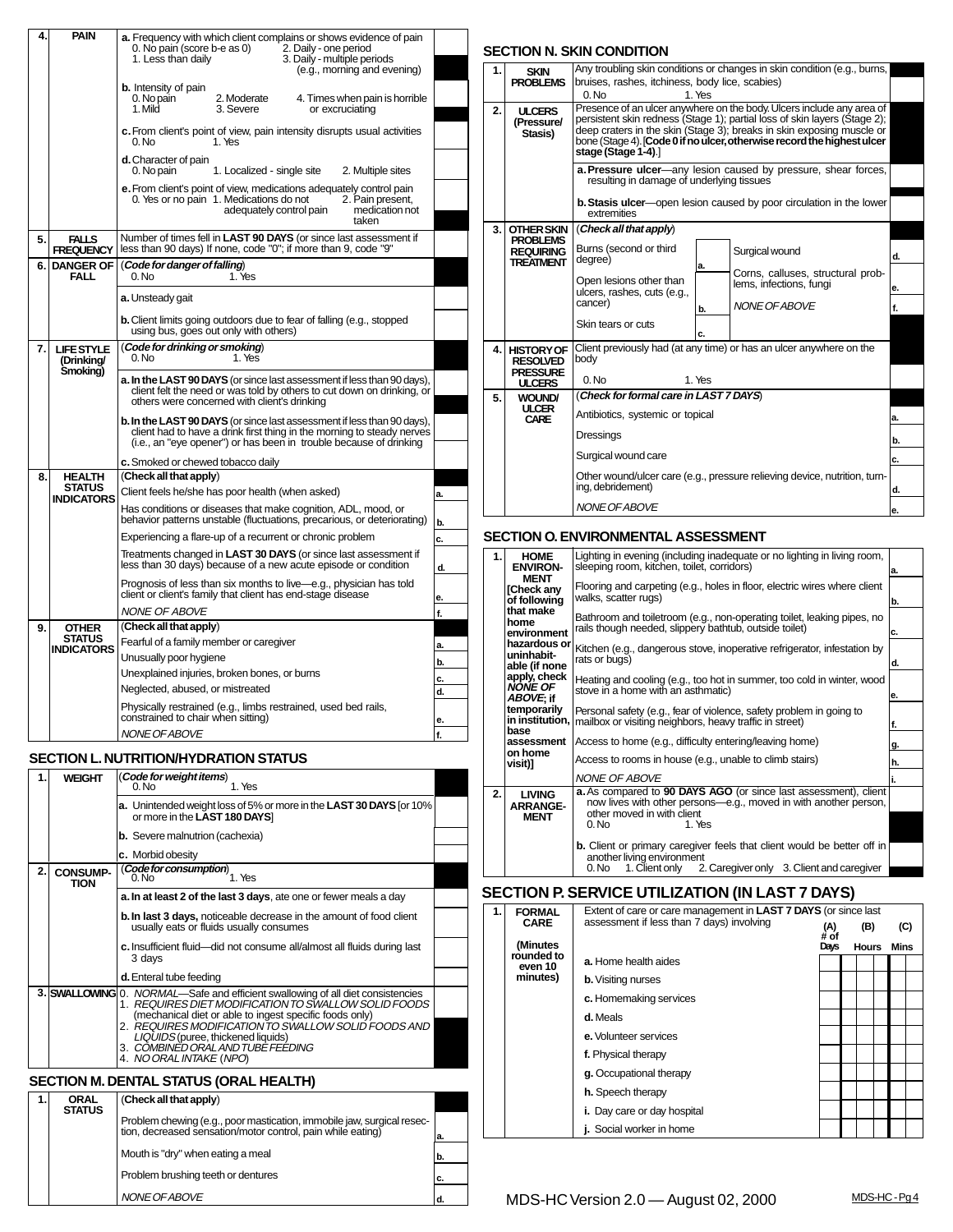| 4. | PAIN                                                | <b>a.</b> Frequency with which client complains or shows evidence of pain<br>0. No pain (score b-e as 0)<br>2. Daily - one period<br>1. Less than daily<br>3. Daily - multiple periods<br>(e.g., morning and evening)   |          |
|----|-----------------------------------------------------|-------------------------------------------------------------------------------------------------------------------------------------------------------------------------------------------------------------------------|----------|
|    |                                                     | <b>b.</b> Intensity of pain<br>0. No pain<br>4. Times when pain is horrible<br>2. Moderate<br>1. Mild<br>3. Severe<br>or excruciating                                                                                   |          |
|    |                                                     | c. From client's point of view, pain intensity disrupts usual activities<br>0. No<br>1. Yes                                                                                                                             |          |
|    |                                                     | d. Character of pain<br>0. No pain<br>1. Localized - single site<br>2. Multiple sites                                                                                                                                   |          |
|    |                                                     | e. From client's point of view, medications adequately control pain<br>0. Yes or no pain 1. Medications do not<br>2. Pain present,<br>adequately control pain<br>medication not<br>taken                                |          |
| 5. | <b>FALLS</b><br><b>FREQUENCY</b>                    | Number of times fell in LAST 90 DAYS (or since last assessment if<br>less than 90 days) If none, code "0"; if more than 9, code "9"                                                                                     |          |
| 6. | <b>DANGER OF</b><br>FALL                            | (Code for danger of falling)<br>1. Yes<br>0. No                                                                                                                                                                         |          |
|    |                                                     | a. Unsteady gait                                                                                                                                                                                                        |          |
|    |                                                     | <b>b.</b> Client limits going outdoors due to fear of falling (e.g., stopped<br>using bus, goes out only with others)                                                                                                   |          |
| 7. | <b>LIFE STYLE</b><br>(Drinking/                     | (Code for drinking or smoking)<br>0. No<br>1. Yes                                                                                                                                                                       |          |
|    | Smoking)                                            | a. In the LAST 90 DAYS (or since last assessment if less than 90 days),                                                                                                                                                 |          |
|    |                                                     | client felt the need or was told by others to cut down on drinking, or<br>others were concerned with client's drinking                                                                                                  |          |
|    |                                                     | b. In the LAST 90 DAYS (or since last assessment if less than 90 days),<br>client had to have a drink first thing in the morning to steady nerves<br>(i.e., an "eye opener") or has been in trouble because of drinking |          |
|    |                                                     | c. Smoked or chewed tobacco daily                                                                                                                                                                                       |          |
| 8. | <b>HEALTH</b><br><b>STATUS</b><br><b>INDICATORS</b> | (Check all that apply)<br>Client feels he/she has poor health (when asked)                                                                                                                                              | a.       |
|    |                                                     | Has conditions or diseases that make cognition, ADL, mood, or<br>behavior patterns unstable (fluctuations, precarious, or deteriorating)                                                                                | b.       |
|    |                                                     | Experiencing a flare-up of a recurrent or chronic problem                                                                                                                                                               | c.       |
|    |                                                     | Treatments changed in LAST 30 DAYS (or since last assessment if<br>less than 30 days) because of a new acute episode or condition                                                                                       | d.       |
|    |                                                     | Prognosis of less than six months to live—e.g., physician has told<br>client or client's family that client has end-stage disease<br><b>NONE OF ABOVE</b>                                                               | е.<br>f. |
| 9. | <b>OTHER</b>                                        | (Check all that apply)                                                                                                                                                                                                  |          |
|    | STATUS<br><b>INDICATORS</b>                         | Fearful of a family member or caregiver                                                                                                                                                                                 | a.       |
|    |                                                     | Unusually poor hygiene                                                                                                                                                                                                  | b.       |
|    |                                                     | Unexplained injuries, broken bones, or burns<br>Neglected, abused, or mistreated                                                                                                                                        | c.       |
|    |                                                     | Physically restrained (e.g., limbs restrained, used bed rails,                                                                                                                                                          | d.       |
|    |                                                     | constrained to chair when sitting)                                                                                                                                                                                      | e.       |
|    |                                                     | <b>NONE OF ABOVE</b>                                                                                                                                                                                                    | f.       |
|    |                                                     | SECTION L. NUTRITION/HYDRATION STATUS                                                                                                                                                                                   |          |
| 1. | WEIGHT                                              | (Code for weight items)<br>1. Yes<br>0. No                                                                                                                                                                              |          |
|    |                                                     | <b>a.</b> Unintended weight loss of 5% or more in the LAST 30 DAYS for 10%<br>or more in the LAST 180 DAYS]                                                                                                             |          |
|    |                                                     | <b>b.</b> Severe malnutrion (cachexia)                                                                                                                                                                                  |          |
| 2. |                                                     | c. Morbid obesity<br>(Code for consumption)                                                                                                                                                                             |          |
|    | <b>CONSUMP-</b><br>TION                             | 1. Yes<br>0. No                                                                                                                                                                                                         |          |
|    |                                                     | a. In at least 2 of the last 3 days, ate one or fewer meals a day<br><b>b. In last 3 days, noticeable decrease in the amount of food client</b>                                                                         |          |
|    |                                                     | usually eats or fluids usually consumes                                                                                                                                                                                 |          |
|    |                                                     | c. Insufficient fluid-did not consume all/almost all fluids during last<br>3 days                                                                                                                                       |          |
|    | 3. SWALLOWING                                       | d. Enteral tube feeding<br>0. NORMAL-Safe and efficient swallowing of all diet consistencies                                                                                                                            |          |
|    |                                                     | 1. REQUIRES DIET MODIFICATION TO SWALLOW SOLID FOODS<br>(mechanical diet or able to ingest specific foods only)                                                                                                         |          |
|    |                                                     | 2. REQUIRES MODIFICATION TO SWALLOW SOLID FOODS AND                                                                                                                                                                     |          |
|    |                                                     | LIQUIDS (puree, thickened liquids)<br>3. COMBINËD ORAL AND TUBË FEËDING<br>4. NO ORAL INTAKE (NPO)                                                                                                                      |          |
|    |                                                     | <b>SECTION M. DENTAL STATUS (ORAL HEALTH)</b>                                                                                                                                                                           |          |
| 1. | ORAL                                                | (Check all that apply)                                                                                                                                                                                                  |          |
|    | STATUS                                              | Problem chewing (e.g., poor mastication, immobile jaw, surgical resec-                                                                                                                                                  |          |
|    |                                                     | tion, decreased sensation/motor control, pain while eating)                                                                                                                                                             |          |

Mouth is "dry" when eating a meal Problem brushing teeth or dentures

NONE OF ABOVE

| <b>SECTION N. SKIN CONDITION</b> |                                                                                                                                                                     |                                                                                                                                                                                                                                                                                                                              |          |  |  |  |  |
|----------------------------------|---------------------------------------------------------------------------------------------------------------------------------------------------------------------|------------------------------------------------------------------------------------------------------------------------------------------------------------------------------------------------------------------------------------------------------------------------------------------------------------------------------|----------|--|--|--|--|
| 1.                               | <b>SKIN</b><br><b>PROBLEMS</b>                                                                                                                                      | Any troubling skin conditions or changes in skin condition (e.g., burns,<br>bruises, rashes, itchiness, body lice, scabies)<br>0. N <sub>0</sub><br>1. Yes                                                                                                                                                                   |          |  |  |  |  |
| 2.                               | <b>ULCERS</b><br>(Pressure/<br>Stasis)                                                                                                                              | Presence of an ulcer anywhere on the body. Ulcers include any area of<br>persistent skin redness (Stage 1); partial loss of skin layers (Stage 2);<br>deep craters in the skin (Stage 3); breaks in skin exposing muscle or<br>bone (Stage 4). [Code 0 if no ulcer, otherwise record the highest ulcer<br>stage (Stage 1-4). |          |  |  |  |  |
|                                  |                                                                                                                                                                     | a. Pressure ulcer-any lesion caused by pressure, shear forces,<br>resulting in damage of underlying tissues                                                                                                                                                                                                                  |          |  |  |  |  |
|                                  |                                                                                                                                                                     | <b>b. Stasis ulcer</b> —open lesion caused by poor circulation in the lower<br>extremities                                                                                                                                                                                                                                   |          |  |  |  |  |
| 3.                               | (Check all that apply)<br><b>OTHER SKIN</b><br><b>PROBLEMS</b><br>Burns (second or third<br>Surgical wound<br><b>REQUIRING</b><br>degree)<br><b>TREATMENT</b><br>a. |                                                                                                                                                                                                                                                                                                                              |          |  |  |  |  |
|                                  |                                                                                                                                                                     | Corns, calluses, structural prob-<br>Open lesions other than<br>lems, infections, fungi<br>ulcers, rashes, cuts (e.g.,<br>cancer)<br>NONE OF ABOVE<br>b.<br>Skin tears or cuts<br>C.                                                                                                                                         | е.<br>f. |  |  |  |  |
| 4.                               | <b>HISTORY OF</b><br><b>RESOLVED</b><br><b>PRESSURE</b><br><b>ULCERS</b>                                                                                            | Client previously had (at any time) or has an ulcer anywhere on the<br>body<br>0. N <sub>0</sub><br>1. Yes                                                                                                                                                                                                                   |          |  |  |  |  |
| 5.                               | <b>WOUND/</b><br><b>ULCER</b><br><b>CARE</b>                                                                                                                        | (Check for formal care in LAST 7 DAYS)<br>Antibiotics, systemic or topical                                                                                                                                                                                                                                                   |          |  |  |  |  |
|                                  |                                                                                                                                                                     | Dressings<br>b.<br>Surgical wound care<br>c.                                                                                                                                                                                                                                                                                 |          |  |  |  |  |
|                                  |                                                                                                                                                                     | Other wound/ulcer care (e.g., pressure relieving device, nutrition, turn-<br>ing, debridement)                                                                                                                                                                                                                               | d.       |  |  |  |  |
|                                  |                                                                                                                                                                     | NONE OF ABOVE                                                                                                                                                                                                                                                                                                                | e.       |  |  |  |  |

### **SECTION O. ENVIRONMENTAL ASSESSMENT**

| 1. | <b>HOME</b><br><b>ENVIRON-</b><br><b>MENT</b> | Lighting in evening (including inadequate or no lighting in living room,<br>sleeping room, kitchen, toilet, corridors)                             | la. |
|----|-----------------------------------------------|----------------------------------------------------------------------------------------------------------------------------------------------------|-----|
|    | <b>ICheck any</b><br>of following             | Flooring and carpeting (e.g., holes in floor, electric wires where client<br>walks, scatter rugs)                                                  | b.  |
|    | that make<br>home<br>environment              | Bathroom and toiletroom (e.g., non-operating toilet, leaking pipes, no<br>rails though needed, slippery bathtub, outside toilet)                   | c.  |
|    | hazardous or<br>uninhabit-<br>able (if none   | Kitchen (e.g., dangerous stove, inoperative refrigerator, infestation by<br>rats or bugs)                                                          | d.  |
|    | apply, check<br><b>NONE OF</b>                | Heating and cooling (e.g., too hot in summer, too cold in winter, wood<br>stove in a home with an asthmatic)                                       | le. |
|    | ABOVE; if<br>temporarily<br>in institution,   | Personal safety (e.g., fear of violence, safety problem in going to<br>mailbox or visiting neighbors, heavy traffic in street)                     | f.  |
|    | base<br>assessment                            | Access to home (e.g., difficulty entering/leaving home)                                                                                            | g.  |
|    | on home<br>visit)]                            | Access to rooms in house (e.g., unable to climb stairs)                                                                                            | h.  |
|    |                                               | <b>NONE OF ABOVE</b>                                                                                                                               |     |
| 2. | <b>LIVING</b><br><b>ARRANGE-</b>              | <b>a.</b> As compared to <b>90 DAYS AGO</b> (or since last assessment), client<br>now lives with other persons-e.g., moved in with another person, |     |
|    | <b>MENT</b>                                   | other moved in with client<br>0. No<br>1. Yes                                                                                                      |     |
|    |                                               | <b>b.</b> Client or primary caregiver feels that client would be better off in<br>another living environment                                       |     |
|    |                                               | 1. Client only 2. Caregiver only 3. Client and caregiver<br>0. No                                                                                  |     |

## **SECTION P. SERVICE UTILIZATION (IN LAST 7 DAYS)**

| 1. | <b>FORMAL</b><br><b>CARE</b> | Extent of care or care management in LAST 7 DAYS (or since last<br>assessment if less than 7 days) involving | (A)          | (B)          | (C)  |  |
|----|------------------------------|--------------------------------------------------------------------------------------------------------------|--------------|--------------|------|--|
|    | (Minutes                     |                                                                                                              | # of<br>Days | <b>Hours</b> | Mins |  |
|    | rounded to<br>even 10        | a. Home health aides                                                                                         |              |              |      |  |
|    | minutes)                     | <b>b.</b> Visiting nurses                                                                                    |              |              |      |  |
|    |                              | c. Homemaking services                                                                                       |              |              |      |  |
|    |                              | d. Meals                                                                                                     |              |              |      |  |
|    |                              | e. Volunteer services                                                                                        |              |              |      |  |
|    |                              | f. Physical therapy                                                                                          |              |              |      |  |
|    |                              | g. Occupational therapy                                                                                      |              |              |      |  |
|    |                              | <b>h.</b> Speech therapy                                                                                     |              |              |      |  |
|    |                              | i. Day care or day hospital                                                                                  |              |              |      |  |
|    |                              | <b>j.</b> Social worker in home                                                                              |              |              |      |  |

**b. c. d.**